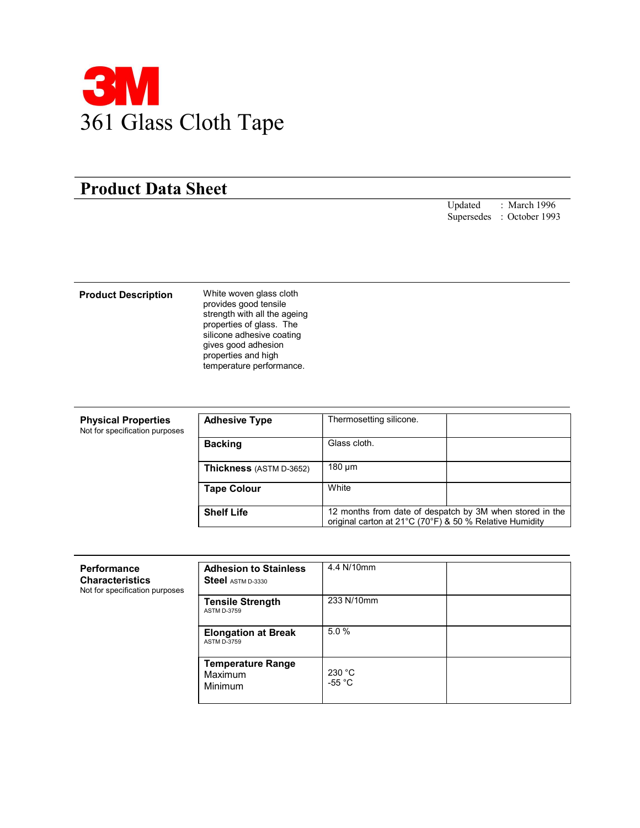

## Product Data Sheet

Updated : March 1996 Supersedes : October 1993

## **Product Description** White woven glass cloth

provides good tensile strength with all the ageing properties of glass. The silicone adhesive coating gives good adhesion properties and high temperature performance.

| <b>Physical Properties</b><br>Not for specification purposes | <b>Adhesive Type</b>           | Thermosetting silicone.                                                                                             |  |
|--------------------------------------------------------------|--------------------------------|---------------------------------------------------------------------------------------------------------------------|--|
|                                                              | <b>Backing</b>                 | Glass cloth.                                                                                                        |  |
|                                                              | <b>Thickness</b> (ASTM D-3652) | $180 \mu m$                                                                                                         |  |
|                                                              | <b>Tape Colour</b>             | White                                                                                                               |  |
|                                                              | <b>Shelf Life</b>              | 12 months from date of despatch by 3M when stored in the<br>original carton at 21°C (70°F) & 50 % Relative Humidity |  |

| <b>Performance</b><br><b>Characteristics</b><br>Not for specification purposes | <b>Adhesion to Stainless</b><br><b>Steel ASTM D-3330</b> | 4.4 N/10mm                 |  |
|--------------------------------------------------------------------------------|----------------------------------------------------------|----------------------------|--|
|                                                                                | <b>Tensile Strength</b><br><b>ASTM D-3759</b>            | 233 N/10mm                 |  |
|                                                                                | <b>Elongation at Break</b><br><b>ASTM D-3759</b>         | 5.0%                       |  |
|                                                                                | <b>Temperature Range</b><br>Maximum<br><b>Minimum</b>    | 230 °C<br>-55 $^{\circ}$ C |  |